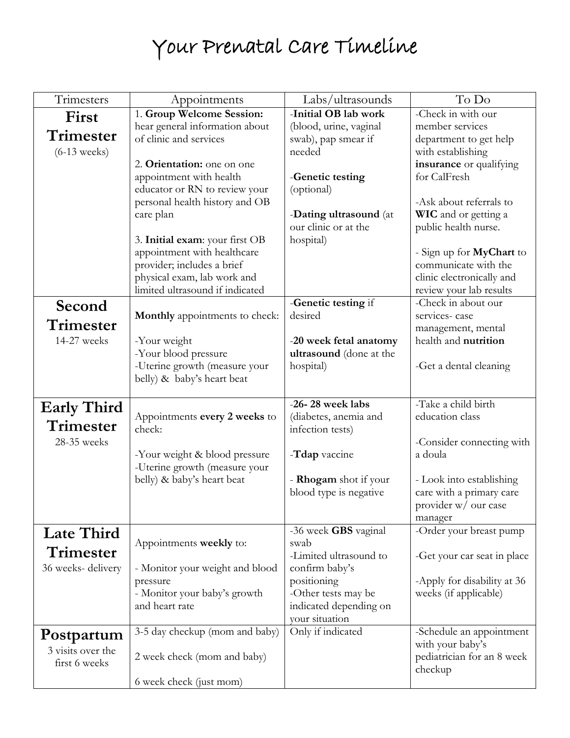## Your Prenatal Care Timeline

| Trimesters         | Appointments                                                   | Labs/ultrasounds                   | To Do                                                |
|--------------------|----------------------------------------------------------------|------------------------------------|------------------------------------------------------|
| First              | 1. Group Welcome Session:                                      | -Initial OB lab work               | -Check in with our                                   |
| Trimester          | hear general information about                                 | (blood, urine, vaginal             | member services                                      |
|                    | of clinic and services                                         | swab), pap smear if                | department to get help                               |
| $(6-13$ weeks)     |                                                                | needed                             | with establishing                                    |
|                    | 2. Orientation: one on one                                     |                                    | insurance or qualifying<br>for CalFresh              |
|                    | appointment with health<br>educator or RN to review your       | -Genetic testing<br>(optional)     |                                                      |
|                    | personal health history and OB                                 |                                    | -Ask about referrals to                              |
|                    | care plan                                                      | -Dating ultrasound (at             | <b>WIC</b> and or getting a                          |
|                    |                                                                | our clinic or at the               | public health nurse.                                 |
|                    | 3. Initial exam: your first OB                                 | hospital)                          |                                                      |
|                    | appointment with healthcare                                    |                                    | - Sign up for <b>MyChart</b> to                      |
|                    | provider; includes a brief                                     |                                    | communicate with the                                 |
|                    | physical exam, lab work and                                    |                                    | clinic electronically and                            |
|                    | limited ultrasound if indicated                                |                                    | review your lab results                              |
| Second             |                                                                | -Genetic testing if                | -Check in about our                                  |
| Trimester          | <b>Monthly</b> appointments to check:                          | desired                            | services-case<br>management, mental                  |
| 14-27 weeks        | -Your weight                                                   | -20 week fetal anatomy             | health and nutrition                                 |
|                    | -Your blood pressure                                           | ultrasound (done at the            |                                                      |
|                    | -Uterine growth (measure your                                  | hospital)                          | -Get a dental cleaning                               |
|                    | belly) & baby's heart beat                                     |                                    |                                                      |
|                    |                                                                |                                    |                                                      |
| <b>Early Third</b> |                                                                | -26-28 week labs                   | -Take a child birth                                  |
| Trimester          | Appointments every 2 weeks to                                  | (diabetes, anemia and              | education class                                      |
|                    | check:                                                         | infection tests)                   |                                                      |
| 28-35 weeks        |                                                                |                                    | -Consider connecting with                            |
|                    | -Your weight & blood pressure<br>-Uterine growth (measure your | -Tdap vaccine                      | a doula                                              |
|                    | belly) & baby's heart beat                                     | - Rhogam shot if your              | - Look into establishing                             |
|                    |                                                                | blood type is negative             | care with a primary care                             |
|                    |                                                                |                                    | provider w/ our case                                 |
|                    |                                                                |                                    | manager                                              |
| <b>Late Third</b>  |                                                                | -36 week GBS vaginal               | -Order your breast pump                              |
| Trimester          | Appointments weekly to:                                        | swab                               |                                                      |
|                    |                                                                | -Limited ultrasound to             | -Get your car seat in place                          |
| 36 weeks-delivery  | - Monitor your weight and blood                                | confirm baby's                     |                                                      |
|                    | pressure<br>- Monitor your baby's growth                       | positioning<br>-Other tests may be | -Apply for disability at 36<br>weeks (if applicable) |
|                    | and heart rate                                                 | indicated depending on             |                                                      |
|                    |                                                                | your situation                     |                                                      |
| Postpartum         | 3-5 day checkup (mom and baby)                                 | Only if indicated                  | -Schedule an appointment                             |
| 3 visits over the  |                                                                |                                    | with your baby's                                     |
| first 6 weeks      | 2 week check (mom and baby)                                    |                                    | pediatrician for an 8 week                           |
|                    |                                                                |                                    | checkup                                              |
|                    | 6 week check (just mom)                                        |                                    |                                                      |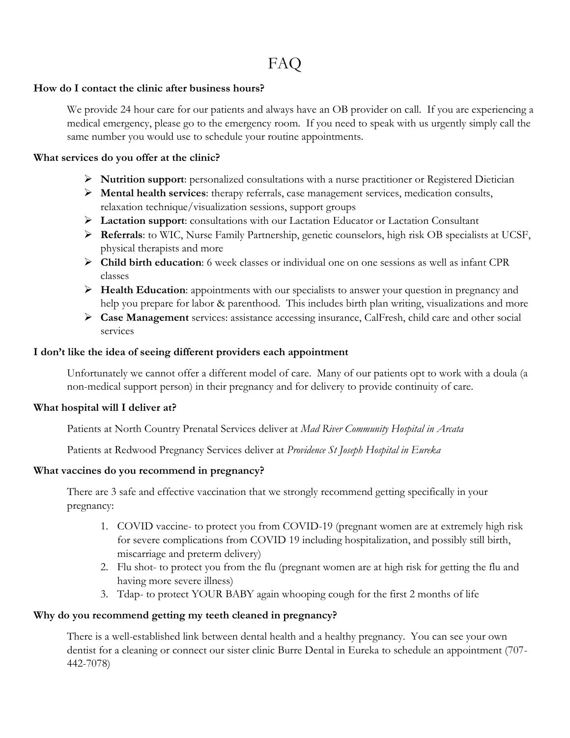#### FAQ

#### **How do I contact the clinic after business hours?**

We provide 24 hour care for our patients and always have an OB provider on call. If you are experiencing a medical emergency, please go to the emergency room. If you need to speak with us urgently simply call the same number you would use to schedule your routine appointments.

#### **What services do you offer at the clinic?**

- **Nutrition support**: personalized consultations with a nurse practitioner or Registered Dietician
- **Mental health services**: therapy referrals, case management services, medication consults, relaxation technique/visualization sessions, support groups
- **Lactation support**: consultations with our Lactation Educator or Lactation Consultant
- **Referrals**: to WIC, Nurse Family Partnership, genetic counselors, high risk OB specialists at UCSF, physical therapists and more
- **Child birth education**: 6 week classes or individual one on one sessions as well as infant CPR classes
- **Health Education**: appointments with our specialists to answer your question in pregnancy and help you prepare for labor & parenthood. This includes birth plan writing, visualizations and more
- **Case Management** services: assistance accessing insurance, CalFresh, child care and other social services

#### **I don't like the idea of seeing different providers each appointment**

Unfortunately we cannot offer a different model of care. Many of our patients opt to work with a doula (a non-medical support person) in their pregnancy and for delivery to provide continuity of care.

#### **What hospital will I deliver at?**

Patients at North Country Prenatal Services deliver at *Mad River Community Hospital in Arcata*

Patients at Redwood Pregnancy Services deliver at *Providence St Joseph Hospital in Eureka* 

#### **What vaccines do you recommend in pregnancy?**

There are 3 safe and effective vaccination that we strongly recommend getting specifically in your pregnancy:

- 1. COVID vaccine- to protect you from COVID-19 (pregnant women are at extremely high risk for severe complications from COVID 19 including hospitalization, and possibly still birth, miscarriage and preterm delivery)
- 2. Flu shot- to protect you from the flu (pregnant women are at high risk for getting the flu and having more severe illness)
- 3. Tdap- to protect YOUR BABY again whooping cough for the first 2 months of life

#### **Why do you recommend getting my teeth cleaned in pregnancy?**

There is a well-established link between dental health and a healthy pregnancy. You can see your own dentist for a cleaning or connect our sister clinic Burre Dental in Eureka to schedule an appointment (707- 442-7078)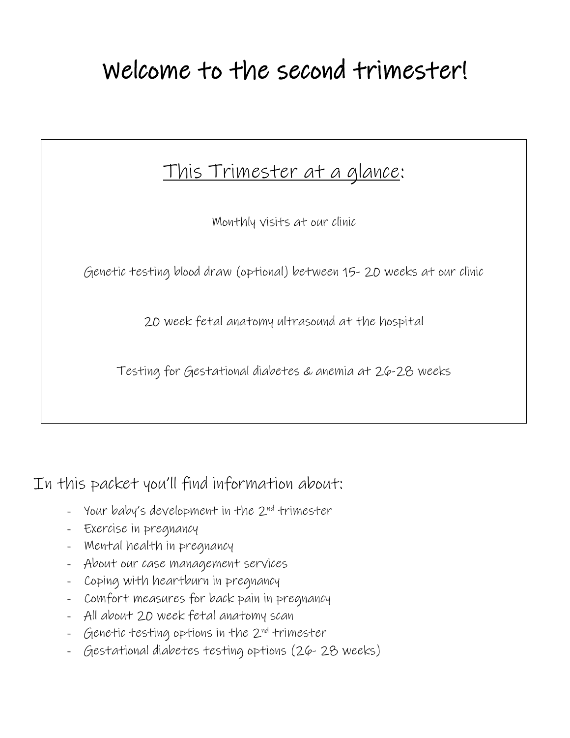# Welcome to the second trimester!

### This Trimester at a glance:

Monthly visits at our clinic

Genetic testing blood draw (optional) between 15- 20 weeks at our clinic

20 week fetal anatomy ultrasound at the hospital

Testing for Gestational diabetes & anemia at 26-28 weeks

In this packet you'll find information about:

- Your baby's development in the 2<sup>nd</sup> trimester
- Exercise in pregnancy
- Mental health in pregnancy
- About our case management services
- Coping with heartburn in pregnancy
- Comfort measures for back pain in pregnancy
- All about 20 week fetal anatomy scan
- Genetic testing options in the 2<sup>nd</sup> trimester
- Gestational diabetes testing options (26- 28 weeks)